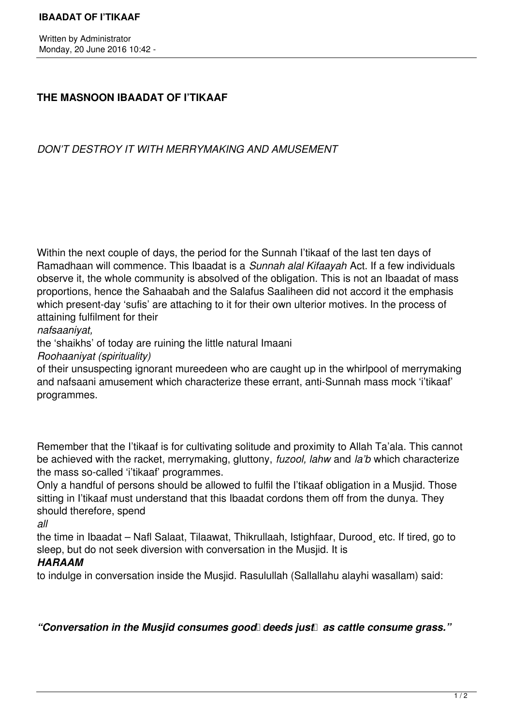## **THE MASNOON IBAADAT OF I'TIKAAF**

*DON'T DESTROY IT WITH MERRYMAKING AND AMUSEMENT*

Within the next couple of days, the period for the Sunnah I'tikaaf of the last ten days of Ramadhaan will commence. This Ibaadat is a *Sunnah alal Kifaayah* Act. If a few individuals observe it, the whole community is absolved of the obligation. This is not an Ibaadat of mass proportions, hence the Sahaabah and the Salafus Saaliheen did not accord it the emphasis which present-day 'sufis' are attaching to it for their own ulterior motives. In the process of attaining fulfilment for their

*nafsaaniyat,* 

the 'shaikhs' of today are ruining the little natural Imaani

*Roohaaniyat (spirituality)* 

of their unsuspecting ignorant mureedeen who are caught up in the whirlpool of merrymaking and nafsaani amusement which characterize these errant, anti-Sunnah mass mock 'i'tikaaf' programmes.

Remember that the I'tikaaf is for cultivating solitude and proximity to Allah Ta'ala. This cannot be achieved with the racket, merrymaking, gluttony, *fuzool, lahw* and *la'b* which characterize the mass so-called 'i'tikaaf' programmes.

Only a handful of persons should be allowed to fulfil the I'tikaaf obligation in a Musjid. Those sitting in I'tikaaf must understand that this Ibaadat cordons them off from the dunya. They should therefore, spend

*all* 

the time in Ibaadat – Nafl Salaat, Tilaawat, Thikrullaah, Istighfaar, Durood¸ etc. If tired, go to sleep, but do not seek diversion with conversation in the Musjid. It is

## *HARAAM*

to indulge in conversation inside the Musjid. Rasulullah (Sallallahu alayhi wasallam) said:

"Conversation in the Musiid consumes good deeds *iust* as cattle consume grass."